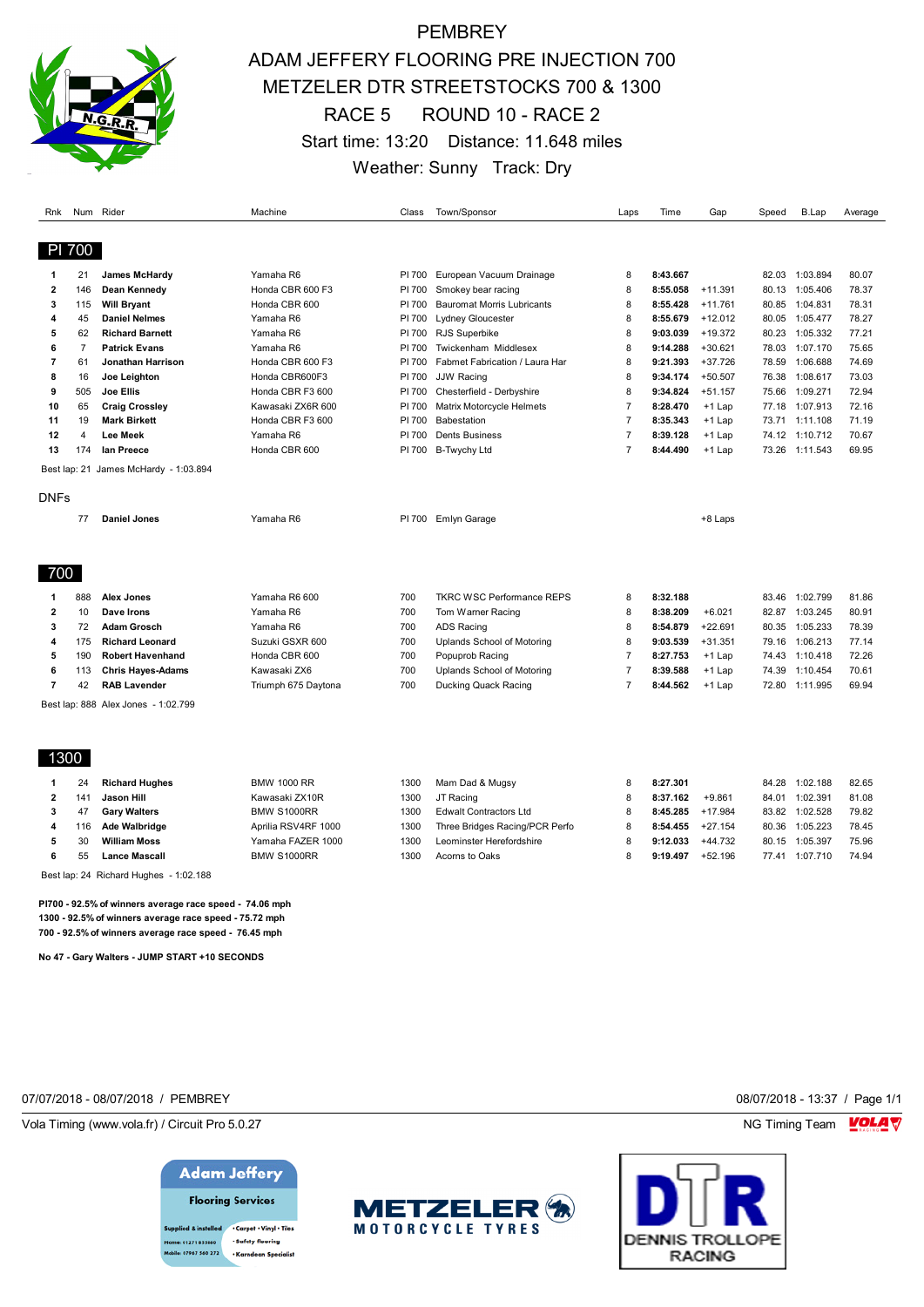

# PEMBREY ADAM JEFFERY FLOORING PRE INJECTION 700 METZELER DTR STREETSTOCKS 700 & 1300 RACE 5 ROUND 10 - RACE 2 Start time: 13:20 Distance: 11.648 miles Weather: Sunny Track: Dry

| Rnk            |                | Num Rider                             | Machine             | Class  | Town/Sponsor                      | Laps           | Time     | Gap       | Speed | B.Lap          | Average |
|----------------|----------------|---------------------------------------|---------------------|--------|-----------------------------------|----------------|----------|-----------|-------|----------------|---------|
|                | PI 700         |                                       |                     |        |                                   |                |          |           |       |                |         |
|                |                |                                       |                     |        |                                   |                |          |           |       |                |         |
| -1             | 21             | <b>James McHardy</b>                  | Yamaha R6           | PI 700 | European Vacuum Drainage          | 8              | 8:43.667 |           | 82.03 | 1:03.894       | 80.07   |
| $\overline{2}$ | 146            | Dean Kennedy                          | Honda CBR 600 F3    | PI 700 | Smokey bear racing                | 8              | 8:55.058 | $+11.391$ | 80.13 | 1:05.406       | 78.37   |
| 3              | 115            | <b>Will Bryant</b>                    | Honda CBR 600       | PI 700 | <b>Bauromat Morris Lubricants</b> | 8              | 8:55.428 | $+11.761$ | 80.85 | 1:04.831       | 78.31   |
| 4              | 45             | <b>Daniel Nelmes</b>                  | Yamaha R6           | PI 700 | Lydney Gloucester                 | 8              | 8:55.679 | $+12.012$ | 80.05 | 1:05.477       | 78.27   |
| 5              | 62             | <b>Richard Barnett</b>                | Yamaha R6           | PI 700 | RJS Superbike                     | 8              | 9:03.039 | $+19.372$ | 80.23 | 1:05.332       | 77.21   |
| 6              | $\overline{7}$ | <b>Patrick Evans</b>                  | Yamaha R6           | PI 700 | Twickenham Middlesex              | 8              | 9:14.288 | $+30.621$ | 78.03 | 1:07.170       | 75.65   |
| $\overline{7}$ | 61             | Jonathan Harrison                     | Honda CBR 600 F3    | PI 700 | Fabmet Fabrication / Laura Har    | 8              | 9:21.393 | $+37.726$ | 78.59 | 1:06.688       | 74.69   |
| 8              | 16             | Joe Leighton                          | Honda CBR600F3      | PI 700 | <b>JJW Racing</b>                 | 8              | 9:34.174 | $+50.507$ | 76.38 | 1:08.617       | 73.03   |
| 9              | 505            | Joe Ellis                             | Honda CBR F3 600    | PI 700 | Chesterfield - Derbyshire         | 8              | 9:34.824 | $+51.157$ | 75.66 | 1:09.271       | 72.94   |
| 10             | 65             | <b>Craig Crossley</b>                 | Kawasaki ZX6R 600   | PI 700 | Matrix Motorcycle Helmets         | $\overline{7}$ | 8:28.470 | $+1$ Lap  | 77.18 | 1:07.913       | 72.16   |
| 11             | 19             | <b>Mark Birkett</b>                   | Honda CBR F3 600    | PI 700 | Babestation                       | $\overline{7}$ | 8:35.343 | $+1$ Lap  |       | 73.71 1:11.108 | 71.19   |
| 12             | $\overline{4}$ | <b>Lee Meek</b>                       | Yamaha R6           | PI 700 | <b>Dents Business</b>             | $\overline{7}$ | 8:39.128 | +1 Lap    | 74.12 | 1:10.712       | 70.67   |
| 13             | 174            | lan Preece                            | Honda CBR 600       | PI 700 | <b>B-Twychy Ltd</b>               | $\overline{7}$ | 8:44.490 | $+1$ Lap  | 73.26 | 1:11.543       | 69.95   |
|                |                | Best lap: 21 James McHardy - 1:03.894 |                     |        |                                   |                |          |           |       |                |         |
| DNFs           |                |                                       |                     |        |                                   |                |          |           |       |                |         |
|                |                |                                       |                     |        |                                   |                |          |           |       |                |         |
|                | 77             | <b>Daniel Jones</b>                   | Yamaha R6           | PI 700 | Emlyn Garage                      |                |          | +8 Laps   |       |                |         |
|                |                |                                       |                     |        |                                   |                |          |           |       |                |         |
|                |                |                                       |                     |        |                                   |                |          |           |       |                |         |
| 700            |                |                                       |                     |        |                                   |                |          |           |       |                |         |
| -1             | 888            | Alex Jones                            | Yamaha R6 600       | 700    | <b>TKRC WSC Performance REPS</b>  | 8              | 8:32.188 |           | 83.46 | 1:02.799       | 81.86   |
| $\overline{2}$ | 10             | Dave Irons                            | Yamaha R6           | 700    | Tom Warner Racing                 | 8              | 8:38.209 | $+6.021$  | 82.87 | 1:03.245       | 80.91   |
| 3              | 72             | <b>Adam Grosch</b>                    | Yamaha R6           | 700    | <b>ADS Racing</b>                 | 8              | 8:54.879 | $+22.691$ | 80.35 | 1:05.233       | 78.39   |
| 4              | 175            | <b>Richard Leonard</b>                | Suzuki GSXR 600     | 700    | Uplands School of Motoring        | 8              | 9:03.539 | $+31.351$ | 79.16 | 1:06.213       | 77.14   |
| 5              | 190            | <b>Robert Havenhand</b>               | Honda CBR 600       | 700    | Popuprob Racing                   | $\overline{7}$ | 8:27.753 | $+1$ Lap  | 74.43 | 1:10.418       | 72.26   |
| 6              | 113            | <b>Chris Hayes Adams</b>              | Kawasaki ZX6        | 700    | Uplands School of Motoring        | $\overline{7}$ | 8:39.588 | $+1$ Lap  | 74.39 | 1:10.454       | 70.61   |
| $\overline{7}$ | 42             | <b>RAB Lavender</b>                   | Triumph 675 Daytona | 700    | Ducking Quack Racing              | $\overline{7}$ | 8:44.562 | +1 Lap    | 72.80 | 1:11.995       | 69.94   |
|                |                | Best lap: 888 Alex Jones - 1:02.799   |                     |        |                                   |                |          |           |       |                |         |
|                |                |                                       |                     |        |                                   |                |          |           |       |                |         |
|                |                |                                       |                     |        |                                   |                |          |           |       |                |         |
| 1300           |                |                                       |                     |        |                                   |                |          |           |       |                |         |
|                | 24             | <b>Richard Hughes</b>                 | <b>BMW 1000 RR</b>  | 1300   | Mam Dad & Mugsy                   | 8              | 8:27.301 |           | 84.28 | 1:02.188       | 82.65   |
| $\overline{2}$ | 141            | Jason Hill                            | Kawasaki ZX10R      | 1300   | JT Racing                         | 8              | 8:37.162 | $+9.861$  |       | 84.01 1:02.391 | 81.08   |
| 3              | 47             | <b>Gary Walters</b>                   | BMW S1000RR         | 1300   | <b>Edwalt Contractors Ltd</b>     | 8              | 8:45.285 | $+17.984$ | 83.82 | 1:02.528       | 79.82   |
| 4              | 116            | Ade Walbridge                         | Aprilia RSV4RF 1000 | 1300   | Three Bridges Racing/PCR Perfo    | 8              | 8:54.455 | $+27.154$ | 80.36 | 1:05.223       | 78.45   |
| 5              | 30             | <b>William Moss</b>                   | Yamaha FAZER 1000   | 1300   | Leominster Herefordshire          | 8              | 9:12.033 | $+44.732$ | 80.15 | 1:05.397       | 75.96   |
| 6              | 55             | <b>Lance Mascall</b>                  | BMW S1000RR         | 1300   | Acorns to Oaks                    | 8              | 9:19.497 | $+52.196$ | 77.41 | 1:07.710       | 74.94   |

Best lap: 24 Richard Hughes - 1:02.188

**PI700 - 92.5% of winners average race speed - 74.06 mph 1300 - 92.5% of winners average race speed - 75.72 mph 700 - 92.5% of winners average race speed - 76.45 mph**

**No 47 - Gary Walters - JUMP START +10 SECONDS**

#### 07/07/2018 - 08/07/2018 / PEMBREY 08/07/2018 - 13:37 / Page 1/1

Vola Timing (www.vola.fr) / Circuit Pro 5.0.27 NG Timing Team NG Timing Team NG Timing Team NG Timing Team NG

## **Adam Jeffery**

**Flooring Services** 

upplied & installed . Carpet . Vinyl . Tiles · Safety flooring 01271 855860 · Karndean Specialist



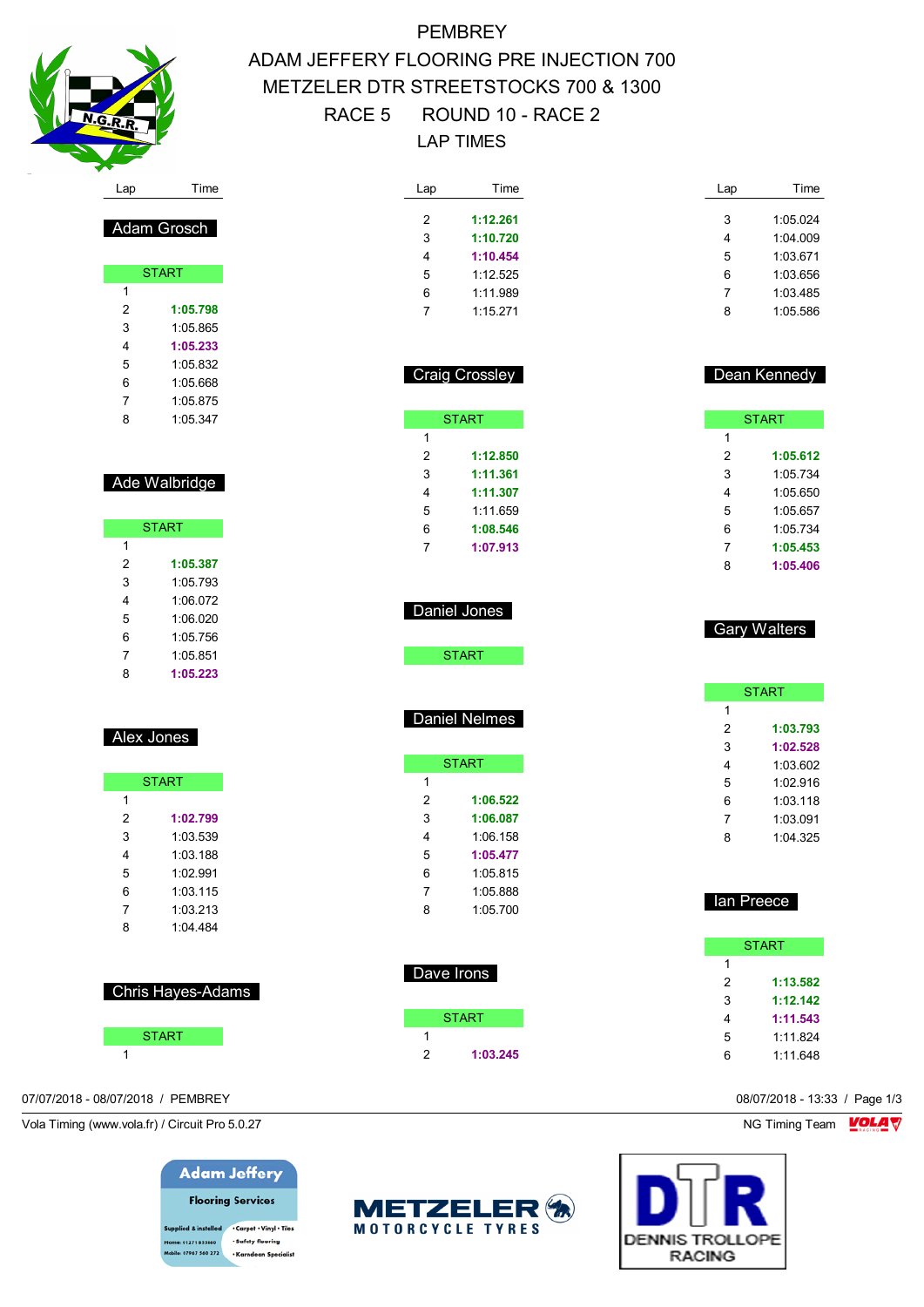

Adam Grosch

START

 **1:05.798** 1:05.865 **1:05.233** 1:05.832 1:05.668 1:05.875 1:05.347

Ade Walbridge

START

 **1:05.387** 1:05.793 1:06.072 1:06.020 1:05.756

# **PEMBREY** ADAM JEFFERY FLOORING PRE INJECTION 700 METZELER DTR STREETSTOCKS 700 & 1300 RACE 5 ROUND 10 - RACE 2 LAP TIMES

| Lap | Time     | Lap | Time     |
|-----|----------|-----|----------|
| 2   | 1:12.261 | 3   | 1:05.024 |
| 3   | 1:10.720 | 4   | 1:04.009 |
| 4   | 1:10.454 | 5   | 1:03.671 |
| 5   | 1:12.525 | 6   | 1:03.656 |
| 6   | 1:11.989 | 7   | 1:03.485 |
|     | 1:15.271 | 8   | 1:05.586 |

|   | <b>Craig Crossley</b> |
|---|-----------------------|
|   | <b>START</b>          |
| 1 |                       |
| 2 | 1:12.850              |
| 3 | 1:11.361              |
| 4 | 1:11.307              |
| 5 | 1.11 659              |
| 6 | 1:08.546              |
| 7 | 1:07.913              |

| Dean Kennedy |
|--------------|

|   | <b>START</b> |
|---|--------------|
| 1 |              |
| 2 | 1:05.612     |
| 3 | 1:05.734     |
| 4 | 1:05.650     |
| 5 | 1:05.657     |
| 6 | 1:05.734     |
| 7 | 1:05.453     |
| 8 | 1:05.406     |

|   | <b>START</b> |
|---|--------------|
| 1 |              |
| 2 | 1:03.793     |
| 3 | 1:02.528     |
| 4 | 1:03.602     |
| 5 | 1.02916      |
| 6 | 1:03.118     |
| 7 | 1:03.091     |
| ጸ | 1.04.325     |
|   |              |

Gary Walters

| lan Preece |              |
|------------|--------------|
|            | <b>START</b> |
| 1          |              |
| 2          | 1:13.582     |
| 3          | 1:12.142     |
| 4          | 1:11.543     |
| 5          | 1:11.824     |

1:11.648

Vola Timing (www.vola.fr) / Circuit Pro 5.0.27 NG Timing Team NG Timing Team NG Timing Team NG Timing Team NG



| 1 |          |
|---|----------|
| 2 | 1:06.522 |
| 3 | 1:06.087 |
| 4 | 1:06.158 |
| 5 | 1:05.477 |
| 6 | 1:05 815 |
| 7 | 1:05.888 |
| 8 | 1:05.700 |

| Dave Irons |              |
|------------|--------------|
|            | <b>START</b> |
|            |              |
|            | 1:03.245     |

| $\lambda$ /olo Timing (ususu $\lambda$ glo fr $\lambda$ / Circuit Dro E 0.07) | $MOT_{\text{initial}}$ Train $MNI$ |
|-------------------------------------------------------------------------------|------------------------------------|
| 07/07/2018 - 08/07/2018 / PEMBREY                                             | 08/07/2018 - 13:33 / Page 1/3      |
|                                                                               |                                    |

## **Adam Jeffery Flooring Services**

upplied & installed . Carpet . Vinyl . Tiles · Safety flooring 01271 855860 **bile: 07967 560 272** · Karndean Specialist





|  |  | Alex Jones |  |
|--|--|------------|--|
|--|--|------------|--|

|   | <b>START</b> |
|---|--------------|
| 1 |              |
| 2 | 1:02.799     |
| 3 | 1.03.539     |
| 4 | 1:03.188     |
| 5 | 1:02.991     |
| 6 | 1:03.115     |
| 7 | 1:03.213     |
| ጸ | 1:04 484     |

| <b>Chris Hayes-Adams</b> |
|--------------------------|
|--------------------------|

| <b>START</b> |  |
|--------------|--|
|              |  |
|              |  |

## 1:05.851 **1:05.223**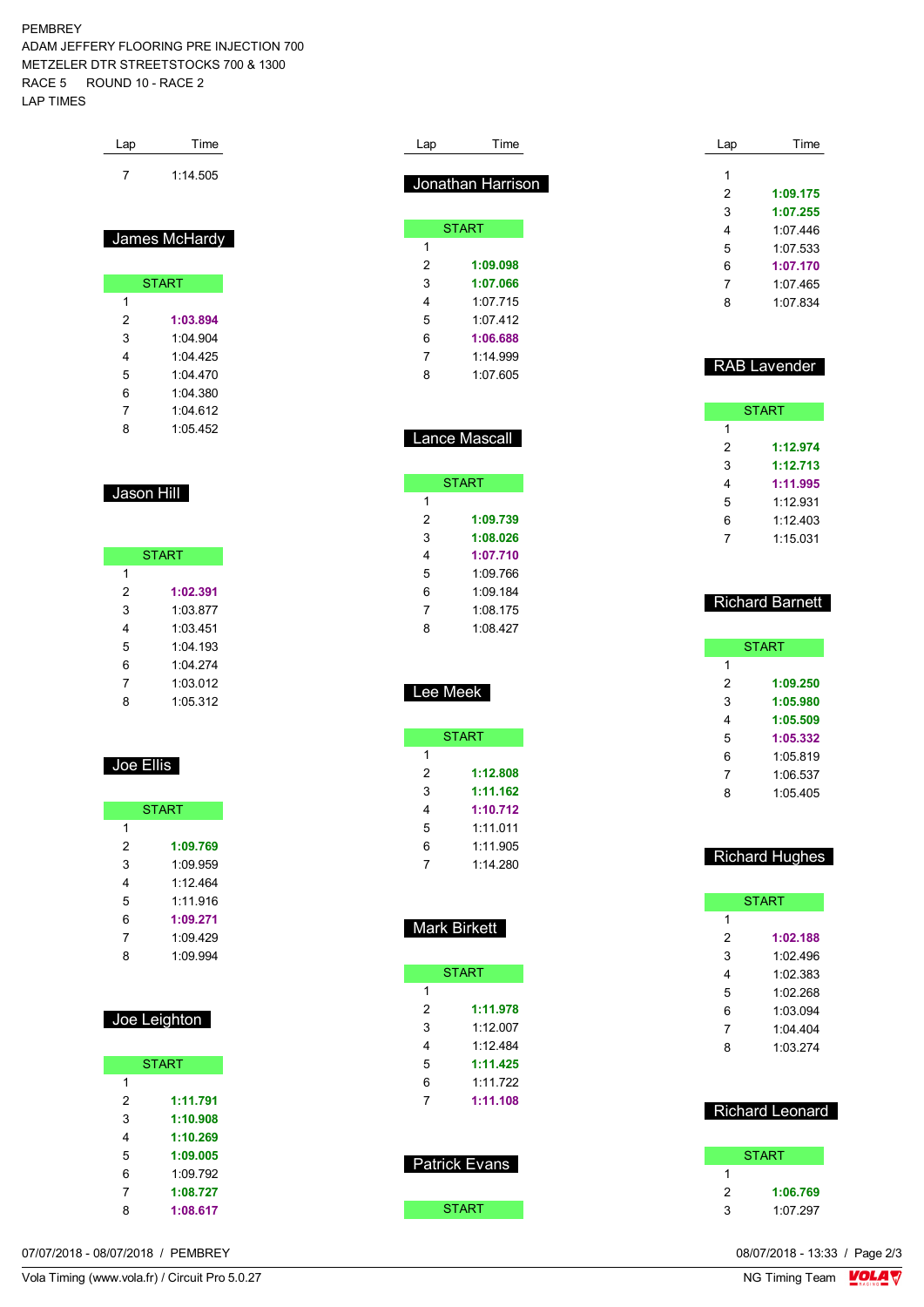#### PEMBREY

ADAM JEFFERY FLOORING PRE INJECTION 700 METZELER DTR STREETSTOCKS 700 & 1300 RACE 5 ROUND 10 - RACE 2 LAP TIMES

| Lap | Time     |
|-----|----------|
|     | 1:14.505 |

### James McHardy

Г

|   | <b>START</b> |
|---|--------------|
| 1 |              |
| 2 | 1:03.894     |
| 3 | 1.04.904     |
| 4 | 1:04 425     |
| 5 | 1:04.470     |
| 6 | 1:04 380     |
| 7 | 1:04 612     |
| 8 | 1:05.452     |

### Jason Hill

| <b>START</b> |            |
|--------------|------------|
| 1            |            |
| 2            | 1:02.391   |
| 3            | 1:03.877   |
| 4            | 1:03 451   |
| 5            | $1.04$ 193 |
| 6            | 1:04 274   |
| 7            | 1:03.012   |
| 8            | 1:05.312   |

### Joe Ellis

| <b>START</b> |          |
|--------------|----------|
| 1            |          |
| 2            | 1:09.769 |
| 3            | 1:09.959 |
| 4            | 1.12464  |
| 5            | 1.11916  |
| 6            | 1:09.271 |
| 7            | 1:09.429 |
| ጸ            | 1:09.994 |

| Joe Leighton |
|--------------|
|--------------|

| <b>START</b> |          |
|--------------|----------|
| 1            |          |
| 2            | 1:11.791 |
| 3            | 1:10.908 |
| 4            | 1:10.269 |
| 5            | 1:09.005 |
| 6            | 1:09.792 |
| 7            | 1:08.727 |
| 8            | 1:08.617 |

| Lap | Time              |
|-----|-------------------|
|     |                   |
|     | Jonathan Harrison |
|     |                   |
|     | <b>START</b>      |
| 1   |                   |
| 2   | 1:09.098          |
| 3   | 1:07.066          |
| 4   | 1.07 715          |
| 5   | 1.07 412          |
| 6   | 1:06.688          |
| 7   | 1:14 999          |

### Lance Mascall

1:07.605

|   | <b>START</b> |
|---|--------------|
| 1 |              |
| 2 | 1:09.739     |
| 3 | 1:08.026     |
| 4 | 1:07.710     |
| 5 | 1:09 766     |
| 6 | 1.09184      |
| 7 | 1:08.175     |
| 8 | 1:08.427     |

### Lee Meek

|   | START    |
|---|----------|
| 1 |          |
| 2 | 1:12.808 |
| 3 | 1:11.162 |
| 4 | 1:10.712 |
| 5 | 1:11.011 |
| 6 | 1.11905  |
|   | 1:14.280 |

### Mark Birkett

| <b>START</b> |          |
|--------------|----------|
| 1            |          |
| 2            | 1:11.978 |
| 3            | 1:12.007 |
| 4            | 1.12484  |
| 5            | 1:11.425 |
| 6            | 1.11722  |
| 7            | 1:11.108 |
|              |          |
|              |          |
|              |          |

| Patrick Evans |  |
|---------------|--|
|               |  |
|               |  |
|               |  |

|  | START |  |  |
|--|-------|--|--|
|  |       |  |  |

Lap Time **1:09.175 1:07.255** 1:07.446 1:07.533 **1:07.170** 1:07.465 1:07.834

### RAB Lavender

| <b>START</b> |          |  |  |  |  |  |  |  |
|--------------|----------|--|--|--|--|--|--|--|
| 1            |          |  |  |  |  |  |  |  |
| 2            | 1:12.974 |  |  |  |  |  |  |  |
| 3            | 1:12.713 |  |  |  |  |  |  |  |
| 4            | 1:11.995 |  |  |  |  |  |  |  |
| 5            | 1.12931  |  |  |  |  |  |  |  |
| 6            | 1:12.403 |  |  |  |  |  |  |  |
|              | 1:15.031 |  |  |  |  |  |  |  |

### Richard Barnett

|   | <b>START</b> |  |  |  |  |  |  |  |  |
|---|--------------|--|--|--|--|--|--|--|--|
| 1 |              |  |  |  |  |  |  |  |  |
| 2 | 1:09.250     |  |  |  |  |  |  |  |  |
| 3 | 1:05.980     |  |  |  |  |  |  |  |  |
| 4 | 1:05.509     |  |  |  |  |  |  |  |  |
| 5 | 1:05.332     |  |  |  |  |  |  |  |  |
| 6 | 1:05.819     |  |  |  |  |  |  |  |  |
| 7 | 1:06.537     |  |  |  |  |  |  |  |  |
| ጸ | 1.05405      |  |  |  |  |  |  |  |  |
|   |              |  |  |  |  |  |  |  |  |

#### Richard Hughes

|   | <b>START</b> |  |  |  |  |  |  |  |
|---|--------------|--|--|--|--|--|--|--|
| 1 |              |  |  |  |  |  |  |  |
| 2 | 1:02.188     |  |  |  |  |  |  |  |
| 3 | 1:02 496     |  |  |  |  |  |  |  |
| 4 | 1:02.383     |  |  |  |  |  |  |  |
| 5 | 1:02.268     |  |  |  |  |  |  |  |
| 6 | 1:03.094     |  |  |  |  |  |  |  |
| 7 | $1.04$ 404   |  |  |  |  |  |  |  |
| ጸ | 1:03.274     |  |  |  |  |  |  |  |

### Richard Leonard

|   | <b>START</b> |
|---|--------------|
| 1 |              |
| 2 | 1:06.769     |
| 3 | 1:07.297     |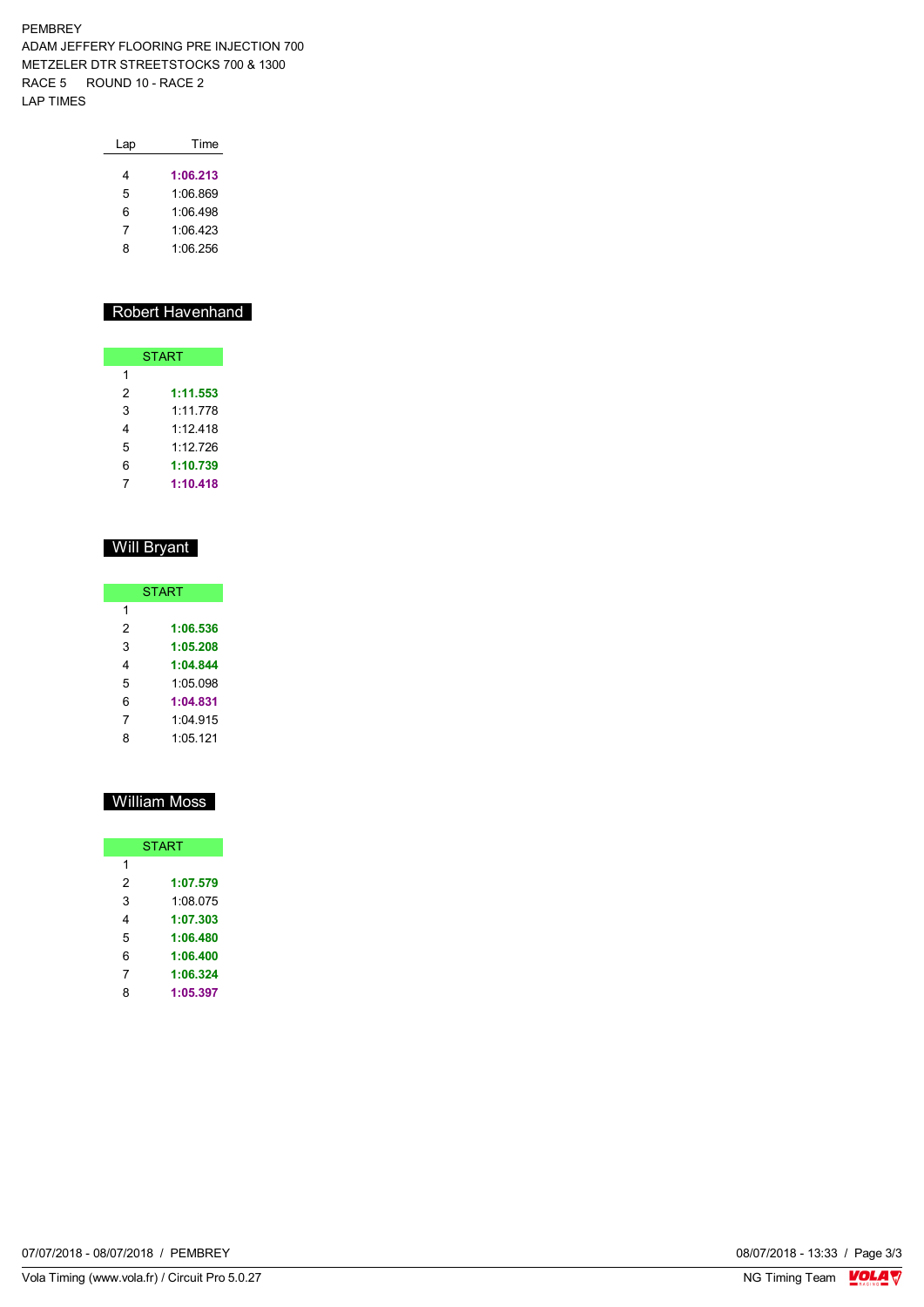PEMBREY ADAM JEFFERY FLOORING PRE INJECTION 700 METZELER DTR STREETSTOCKS 700 & 1300 RACE 5 ROUND 10 - RACE 2 LAP TIMES

| Lap | Time     |
|-----|----------|
| 4   | 1:06.213 |
| 5   | 1:06.869 |
| 6   | 1:06 498 |
| 7   | 1:06.423 |
| 8   | 1:06.256 |
|     |          |

### Robert Havenhand

| <b>START</b> |          |  |  |  |  |  |  |  |
|--------------|----------|--|--|--|--|--|--|--|
| 1            |          |  |  |  |  |  |  |  |
| 2            | 1:11.553 |  |  |  |  |  |  |  |
| 3            | 1:11.778 |  |  |  |  |  |  |  |
| 4            | 1.12 418 |  |  |  |  |  |  |  |
| 5            | 1.12 726 |  |  |  |  |  |  |  |
| 6            | 1:10.739 |  |  |  |  |  |  |  |
|              | 1:10.418 |  |  |  |  |  |  |  |

### Will Bryant

| <b>START</b> |          |  |  |  |  |  |  |
|--------------|----------|--|--|--|--|--|--|
| 1            |          |  |  |  |  |  |  |
| 2            | 1:06.536 |  |  |  |  |  |  |
| 3            | 1:05.208 |  |  |  |  |  |  |
| 4            | 1:04.844 |  |  |  |  |  |  |
| 5            | 1:05.098 |  |  |  |  |  |  |
| 6            | 1:04.831 |  |  |  |  |  |  |
| 7            | 1.04915  |  |  |  |  |  |  |
| 8            | 1:05.121 |  |  |  |  |  |  |

### William Moss

| <b>START</b> |          |  |  |  |  |  |  |
|--------------|----------|--|--|--|--|--|--|
| 1            |          |  |  |  |  |  |  |
| 2            | 1:07.579 |  |  |  |  |  |  |
| 3            | 1:08.075 |  |  |  |  |  |  |
| 4            | 1:07.303 |  |  |  |  |  |  |
| 5            | 1:06.480 |  |  |  |  |  |  |
| 6            | 1:06.400 |  |  |  |  |  |  |
| 7            | 1:06.324 |  |  |  |  |  |  |
| 8            | 1:05.397 |  |  |  |  |  |  |

08/07/2018 - 13:33 / Page 3/3<br>NG Timing Team  $\frac{\text{VOLA}}{\text{V}}$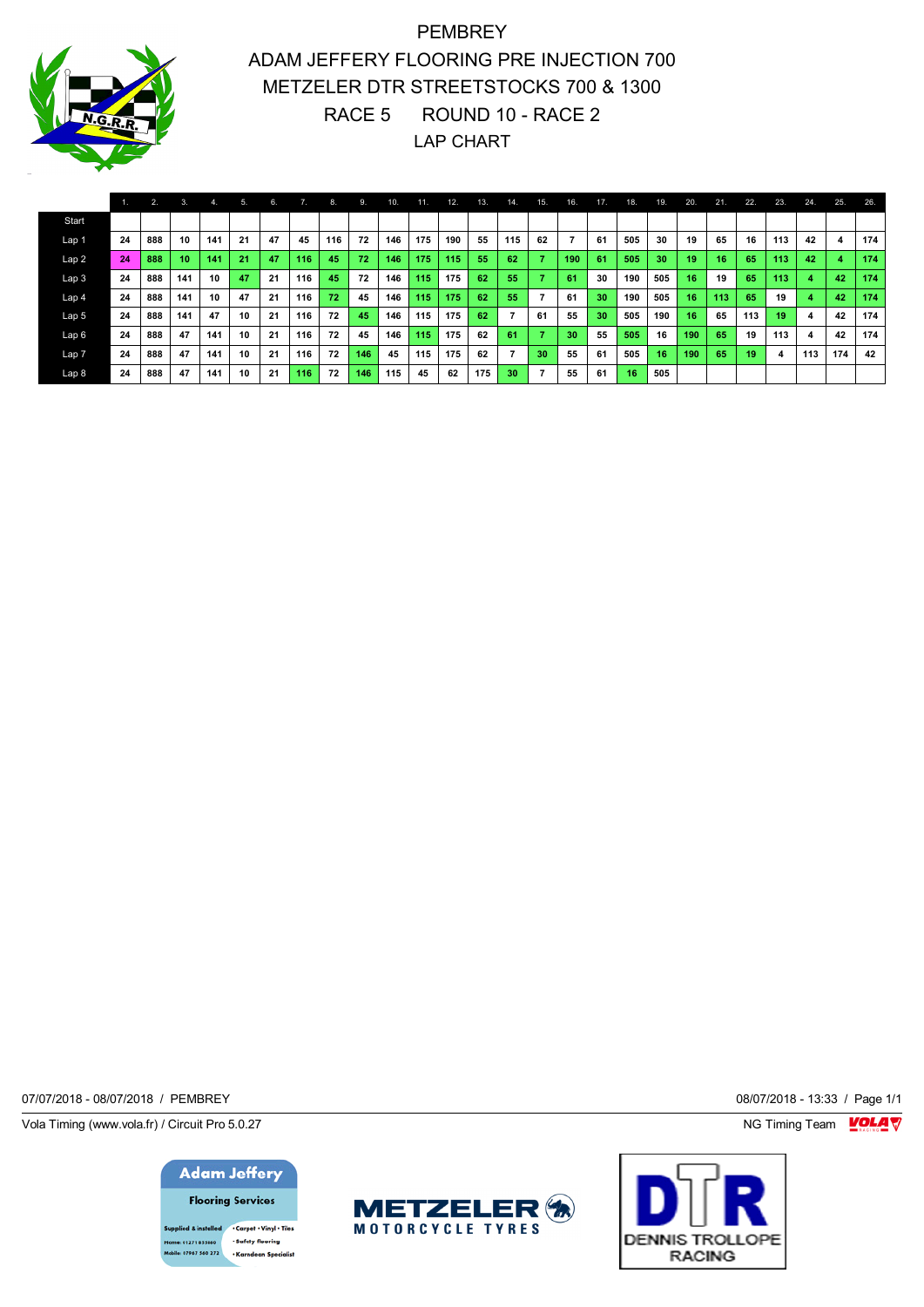

PEMBREY ADAM JEFFERY FLOORING PRE INJECTION 700 METZELER DTR STREETSTOCKS 700 & 1300 RACE 5 ROUND 10 - RACE 2 LAP CHART

|                  |    | 2.  | 3.  | 4.  | 5. | 6. |     | 8.              | 9.  | 10. | 11. | 12. | 13. | 14. | 15. | 16. | 17. | 18. | 19. | 20. | 21. | 22. | 23. | 24. | 25.                     | 26. |
|------------------|----|-----|-----|-----|----|----|-----|-----------------|-----|-----|-----|-----|-----|-----|-----|-----|-----|-----|-----|-----|-----|-----|-----|-----|-------------------------|-----|
| Start            |    |     |     |     |    |    |     |                 |     |     |     |     |     |     |     |     |     |     |     |     |     |     |     |     |                         |     |
| Lap 1            | 24 | 888 | 10  | 141 | 21 | 47 | 45  | 116             | 72  | 146 | 175 | 190 | 55  | 115 | 62  |     | 61  | 505 | 30  | 19  | 65  | 16  | 113 | 42  | $\overline{\mathbf{4}}$ | 174 |
| Lap <sub>2</sub> | 24 | 888 | 10  | 141 | 21 | 47 | 116 | 45              | 72  | 146 | 175 | 115 | 55  | 62  |     | 190 | 61  | 505 | 30  | 19  | 16  | 65  | 113 | 42  | 4                       | 174 |
| Lap <sub>3</sub> | 24 | 888 | 141 | 10  | 47 | 21 | 116 | 45              | 72  | 146 | 115 | 175 | 62  | 55  |     | 61  | 30  | 190 | 505 | 16  | 19  | 65  | 113 | 4   | 42                      | 174 |
| Lap <sub>4</sub> | 24 | 888 | 141 | 10  | 47 | 21 | 116 | 72 <sup>1</sup> | 45  | 146 | 115 | 175 | 62  | 55  | ⇁   | 61  | 30  | 190 | 505 | 16  | 113 | 65  | 19  |     | 42                      | 174 |
| Lap 5            | 24 | 888 | 141 | 47  | 10 | 21 | 116 | 72              | 45  | 146 | 115 | 175 | 62  |     | 61  | 55  | 30  | 505 | 190 | 16  | 65  | 113 | 19  | 4   | 42                      | 174 |
| Lap6             | 24 | 888 | 47  | 141 | 10 | 21 | 116 | 72              | 45  | 146 | 115 | 175 | 62  | 61  |     | 30  | 55  | 505 | 16  | 190 | 65  | 19  | 113 | 4   | 42                      | 174 |
| Lap <sub>7</sub> | 24 | 888 | 47  | 141 | 10 | 21 | 116 | 72              | 146 | 45  | 115 | 175 | 62  | 7   | 30  | 55  | 61  | 505 | 16  | 190 | 65  | 19  | -4  | 113 | 174                     | 42  |
| Lap <sub>8</sub> | 24 | 888 | 47  | 141 | 10 | 21 | 116 | 72              | 146 | 115 | 45  | 62  | 175 | 30  |     | 55  | 61  | 16  | 505 |     |     |     |     |     |                         |     |

07/07/2018 - 08/07/2018 / PEMBREY 08/07/2018 - 13:33 / Page 1/1

Vola Timing (www.vola.fr) / Circuit Pro 5.0.27 **NG Timing Team** Vola Timing Team VOLA V

**Adam Jeffery Flooring Services** 

upplied & installed . Carpet . Vinyl . Tiles · Safety flooring 01271 855860 .<br>Ie: 07967 560 272 -<br>Karndean Snecialist